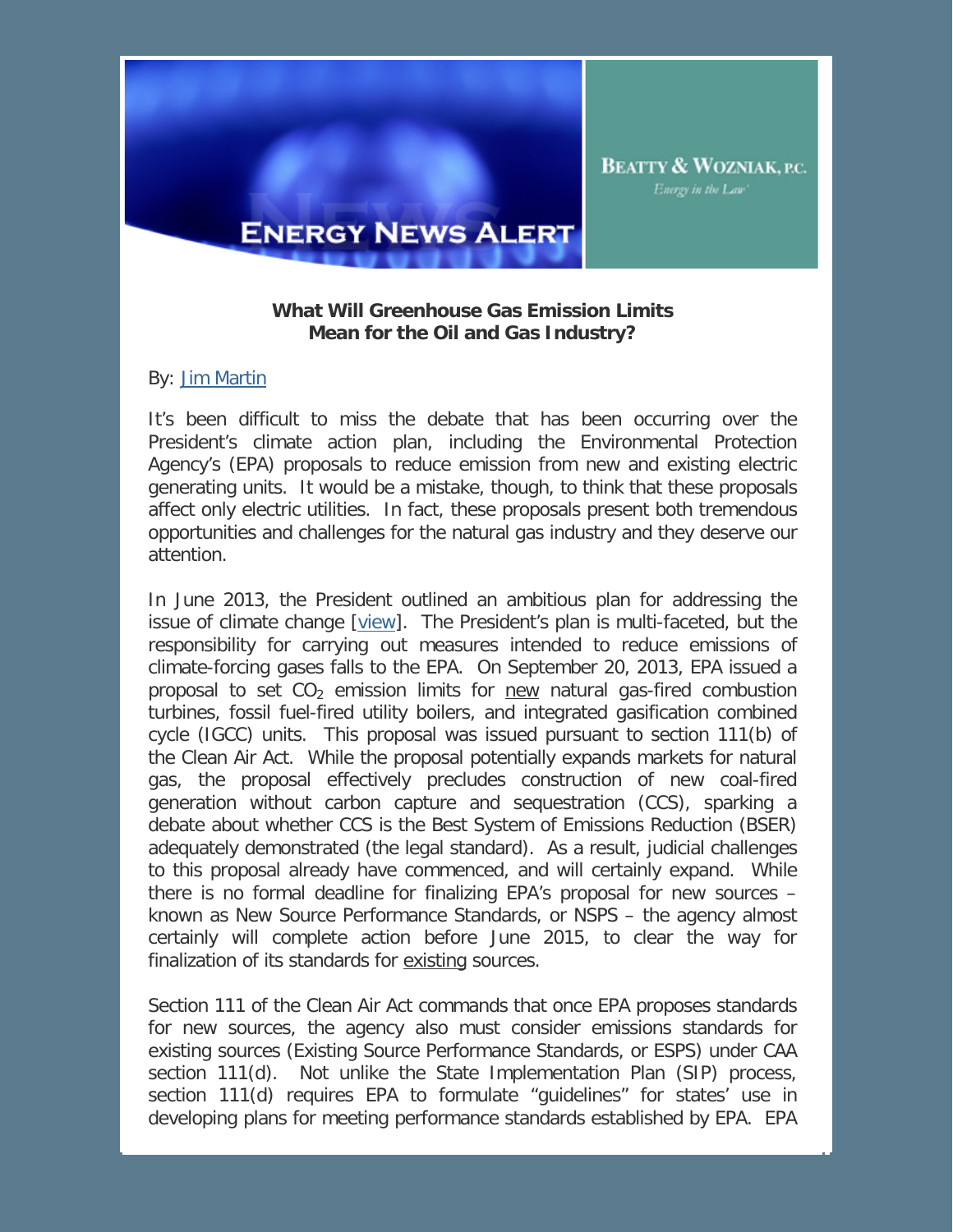

**ENERGY NEWS ALERT** 

## **What Will Greenhouse Gas Emission Limits Mean for the Oil and Gas Industry?**

## By: Jim Martin

It's been difficult to miss the debate that has been occurring over the President's climate action plan, including the Environmental Protection Agency's (EPA) proposals to reduce emission from new and existing electric generating units. It would be a mistake, though, to think that these proposals affect only electric utilities. In fact, these proposals present both tremendous opportunities and challenges for the natural gas industry and they deserve our attention.

In June 2013, the President outlined an ambitious plan for addressing the issue of climate change [\[view\]](http://www.whitehouse.gov/the-press-office/2013/06/25/fact-sheet-president-obama-s-climate-action-plan). The President's plan is multi-faceted, but the responsibility for carrying out measures intended to reduce emissions of climate-forcing gases falls to the EPA. On September 20, 2013, EPA issued a proposal to set  $CO<sub>2</sub>$  emission limits for new natural gas-fired combustion turbines, fossil fuel-fired utility boilers, and integrated gasification combined cycle (IGCC) units. This proposal was issued pursuant to section 111(b) of the Clean Air Act. While the proposal potentially expands markets for natural gas, the proposal effectively precludes construction of new coal-fired generation without carbon capture and sequestration (CCS), sparking a debate about whether CCS is the Best System of Emissions Reduction (BSER) adequately demonstrated (the legal standard). As a result, judicial challenges to this proposal already have commenced, and will certainly expand. While there is no formal deadline for finalizing EPA's proposal for new sources – known as New Source Performance Standards, or NSPS – the agency almost certainly will complete action before June 2015, to clear the way for finalization of its standards for existing sources.

Section 111 of the Clean Air Act commands that once EPA proposes standards for new sources, the agency also must consider emissions standards for existing sources (Existing Source Performance Standards, or ESPS) under CAA section 111(d). Not unlike the State Implementation Plan (SIP) process, section 111(d) requires EPA to formulate "guidelines" for states' use in developing plans for meeting performance standards established by EPA. EPA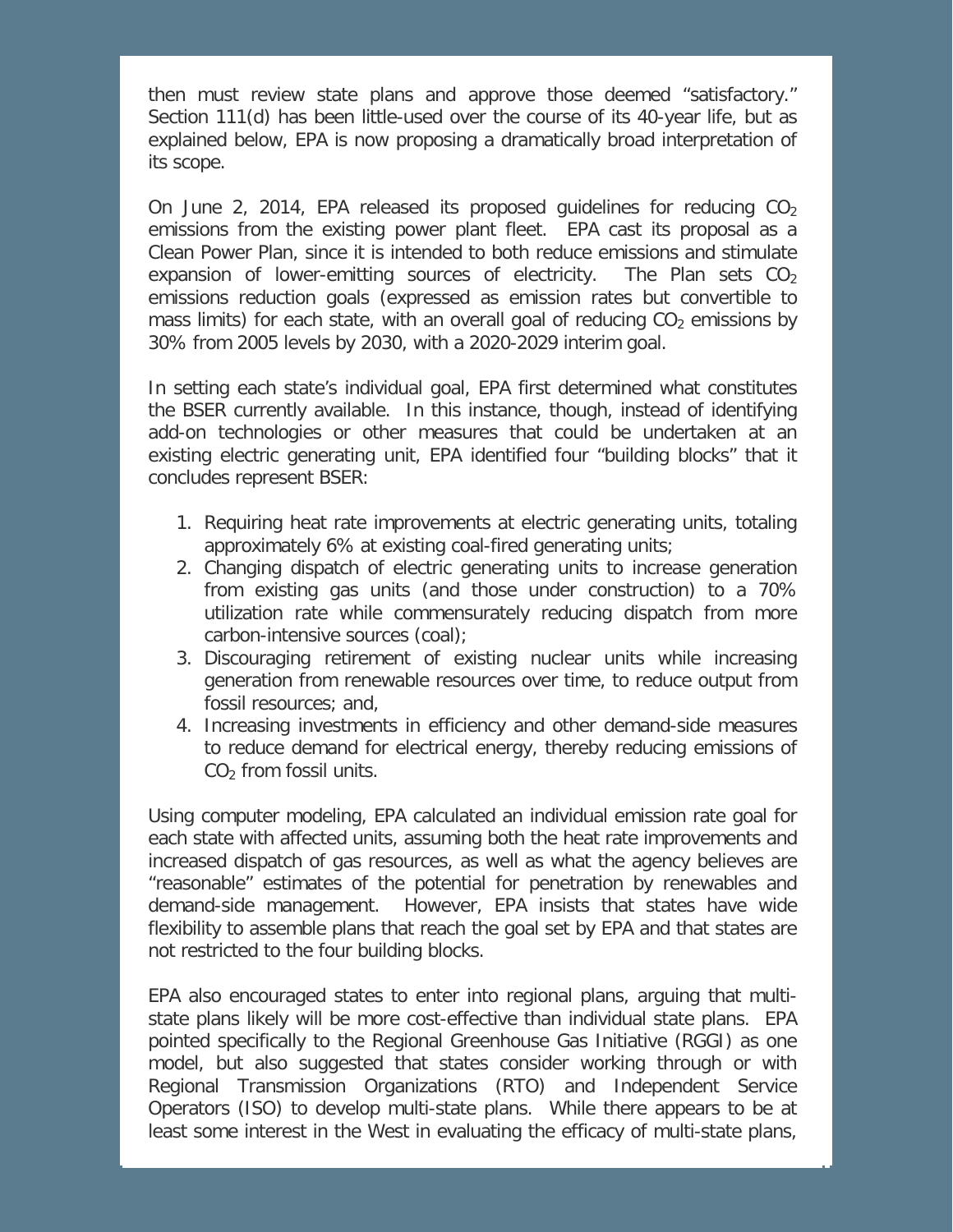then must review state plans and approve those deemed "satisfactory." Section 111(d) has been little-used over the course of its 40-year life, but as explained below, EPA is now proposing a dramatically broad interpretation of its scope.

On June 2, 2014, EPA released its proposed quidelines for reducing  $CO<sub>2</sub>$ emissions from the existing power plant fleet. EPA cast its proposal as a Clean Power Plan, since it is intended to both reduce emissions and stimulate expansion of lower-emitting sources of electricity. The Plan sets  $CO<sub>2</sub>$ emissions reduction goals (expressed as emission rates but convertible to mass limits) for each state, with an overall goal of reducing  $CO<sub>2</sub>$  emissions by 30% from 2005 levels by 2030, with a 2020-2029 interim goal.

In setting each state's individual goal, EPA first determined what constitutes the BSER currently available. In this instance, though, instead of identifying add-on technologies or other measures that could be undertaken at an existing electric generating unit, EPA identified four "building blocks" that it concludes represent BSER:

- 1. Requiring heat rate improvements at electric generating units, totaling approximately 6% at existing coal-fired generating units;
- 2. Changing dispatch of electric generating units to increase generation from existing gas units (and those under construction) to a 70% utilization rate while commensurately reducing dispatch from more carbon-intensive sources (coal);
- 3. Discouraging retirement of existing nuclear units while increasing generation from renewable resources over time, to reduce output from fossil resources; and,
- 4. Increasing investments in efficiency and other demand-side measures to reduce demand for electrical energy, thereby reducing emissions of  $CO<sub>2</sub>$  from fossil units.

Using computer modeling, EPA calculated an individual emission rate goal for each state with affected units, assuming both the heat rate improvements and increased dispatch of gas resources, as well as what the agency believes are "reasonable" estimates of the potential for penetration by renewables and demand-side management. However, EPA insists that states have wide flexibility to assemble plans that reach the goal set by EPA and that states are not restricted to the four building blocks.

EPA also encouraged states to enter into regional plans, arguing that multistate plans likely will be more cost-effective than individual state plans. EPA pointed specifically to the Regional Greenhouse Gas Initiative (RGGI) as one model, but also suggested that states consider working through or with Regional Transmission Organizations (RTO) and Independent Service Operators (ISO) to develop multi-state plans. While there appears to be at least some interest in the West in evaluating the efficacy of multi-state plans,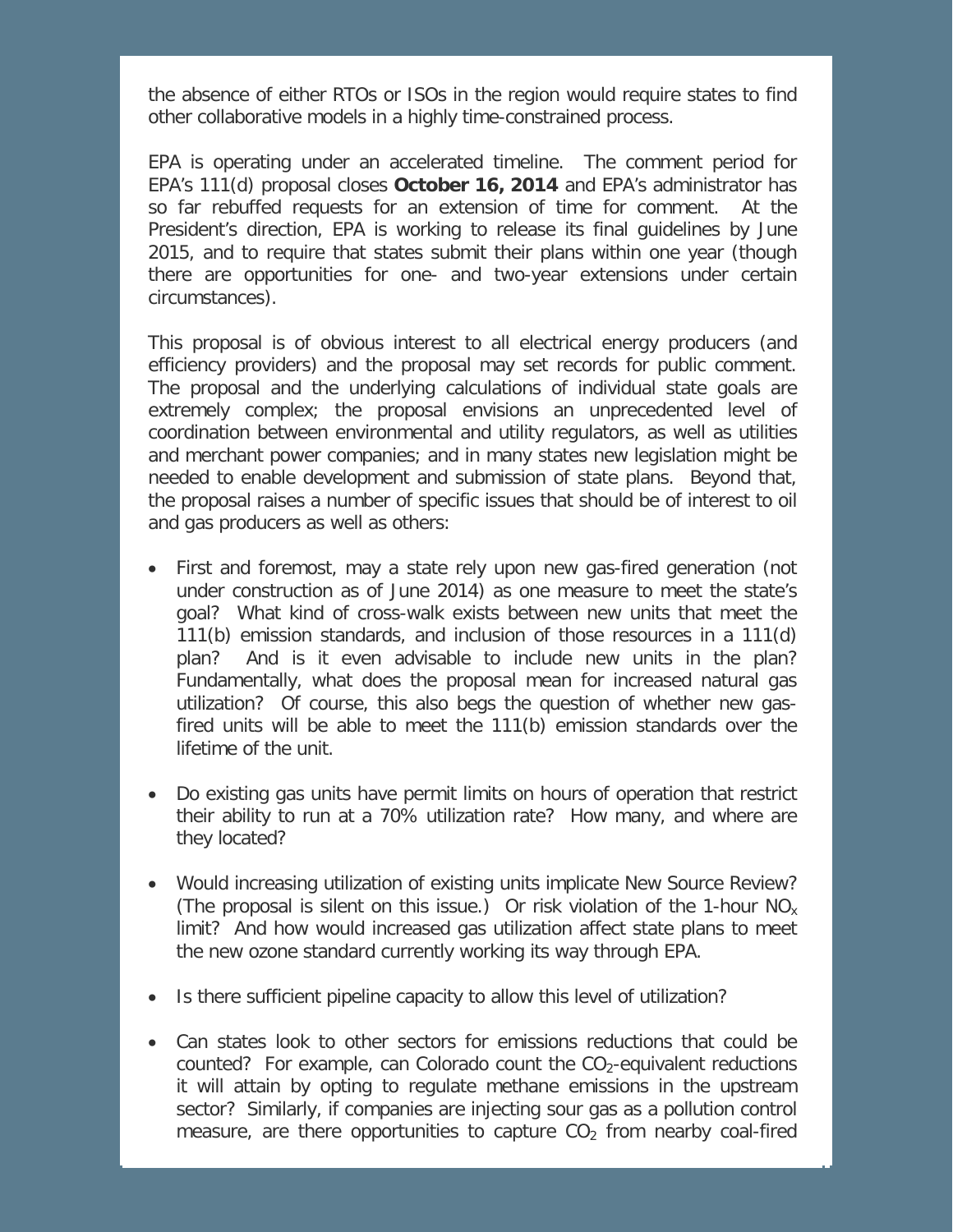the absence of either RTOs or ISOs in the region would require states to find other collaborative models in a highly time-constrained process.

EPA is operating under an accelerated timeline. The comment period for EPA's 111(d) proposal closes **October 16, 2014** and EPA's administrator has so far rebuffed requests for an extension of time for comment. At the President's direction, EPA is working to release its final guidelines by June 2015, and to require that states submit their plans within one year (though there are opportunities for one- and two-year extensions under certain circumstances).

This proposal is of obvious interest to all electrical energy producers (and efficiency providers) and the proposal may set records for public comment. The proposal and the underlying calculations of individual state goals are extremely complex; the proposal envisions an unprecedented level of coordination between environmental and utility regulators, as well as utilities and merchant power companies; and in many states new legislation might be needed to enable development and submission of state plans. Beyond that, the proposal raises a number of specific issues that should be of interest to oil and gas producers as well as others:

- First and foremost, may a state rely upon new gas-fired generation (not under construction as of June 2014) as one measure to meet the state's goal? What kind of cross-walk exists between new units that meet the 111(b) emission standards, and inclusion of those resources in a 111(d) plan? And is it even advisable to include new units in the plan? Fundamentally, what does the proposal mean for increased natural gas utilization? Of course, this also begs the question of whether new gasfired units will be able to meet the 111(b) emission standards over the lifetime of the unit.
- Do existing gas units have permit limits on hours of operation that restrict their ability to run at a 70% utilization rate? How many, and where are they located?
- Would increasing utilization of existing units implicate New Source Review? (The proposal is silent on this issue.) Or risk violation of the 1-hour  $NO<sub>x</sub>$ limit? And how would increased gas utilization affect state plans to meet the new ozone standard currently working its way through EPA.
- Is there sufficient pipeline capacity to allow this level of utilization?
- Can states look to other sectors for emissions reductions that could be counted? For example, can Colorado count the  $CO<sub>2</sub>$ -equivalent reductions it will attain by opting to regulate methane emissions in the upstream sector? Similarly, if companies are injecting sour gas as a pollution control measure, are there opportunities to capture  $CO<sub>2</sub>$  from nearby coal-fired